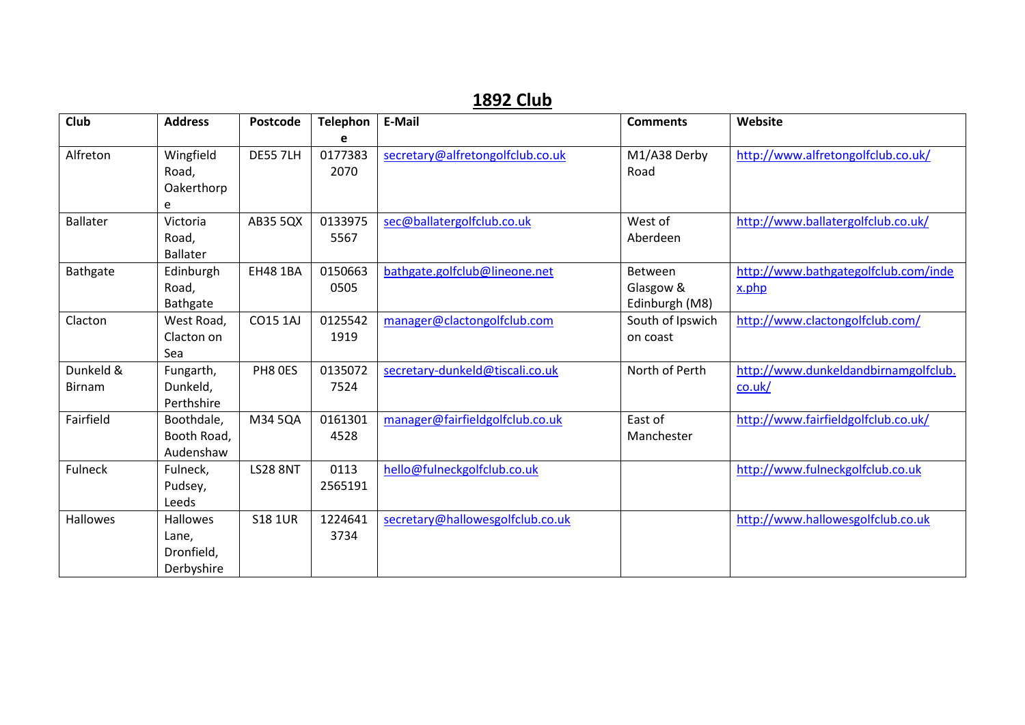## **1892 Club**

| Club            | <b>Address</b>  | <b>Postcode</b> | <b>Telephon</b> | E-Mail                           | <b>Comments</b>  | Website                              |
|-----------------|-----------------|-----------------|-----------------|----------------------------------|------------------|--------------------------------------|
|                 |                 |                 |                 |                                  |                  |                                      |
| Alfreton        | Wingfield       | <b>DE55 7LH</b> | 0177383         | secretary@alfretongolfclub.co.uk | M1/A38 Derby     | http://www.alfretongolfclub.co.uk/   |
|                 | Road,           |                 | 2070            |                                  | Road             |                                      |
|                 | Oakerthorp      |                 |                 |                                  |                  |                                      |
|                 | e               |                 |                 |                                  |                  |                                      |
| <b>Ballater</b> | Victoria        | AB35 5QX        | 0133975         | sec@ballatergolfclub.co.uk       | West of          | http://www.ballatergolfclub.co.uk/   |
|                 | Road,           |                 | 5567            |                                  | Aberdeen         |                                      |
|                 | <b>Ballater</b> |                 |                 |                                  |                  |                                      |
| Bathgate        | Edinburgh       | <b>EH48 1BA</b> | 0150663         | bathgate.golfclub@lineone.net    | Between          | http://www.bathgategolfclub.com/inde |
|                 | Road,           |                 | 0505            |                                  | Glasgow &        | x.php                                |
|                 | Bathgate        |                 |                 |                                  | Edinburgh (M8)   |                                      |
| Clacton         | West Road,      | <b>CO15 1AJ</b> | 0125542         | manager@clactongolfclub.com      | South of Ipswich | http://www.clactongolfclub.com/      |
|                 | Clacton on      |                 | 1919            |                                  | on coast         |                                      |
|                 | Sea             |                 |                 |                                  |                  |                                      |
| Dunkeld &       | Fungarth,       | PH8 OES         | 0135072         | secretary-dunkeld@tiscali.co.uk  | North of Perth   | http://www.dunkeldandbirnamgolfclub. |
| <b>Birnam</b>   | Dunkeld,        |                 | 7524            |                                  |                  | $\overline{\text{co.uk}}$            |
|                 | Perthshire      |                 |                 |                                  |                  |                                      |
| Fairfield       | Boothdale,      | M34 5QA         | 0161301         | manager@fairfieldgolfclub.co.uk  | East of          | http://www.fairfieldgolfclub.co.uk/  |
|                 | Booth Road,     |                 | 4528            |                                  | Manchester       |                                      |
|                 | Audenshaw       |                 |                 |                                  |                  |                                      |
| Fulneck         | Fulneck,        | <b>LS28 8NT</b> | 0113            | hello@fulneckgolfclub.co.uk      |                  | http://www.fulneckgolfclub.co.uk     |
|                 | Pudsey,         |                 | 2565191         |                                  |                  |                                      |
|                 | Leeds           |                 |                 |                                  |                  |                                      |
| <b>Hallowes</b> | <b>Hallowes</b> | <b>S18 1UR</b>  | 1224641         | secretary@hallowesgolfclub.co.uk |                  | http://www.hallowesgolfclub.co.uk    |
|                 | Lane,           |                 | 3734            |                                  |                  |                                      |
|                 | Dronfield,      |                 |                 |                                  |                  |                                      |
|                 | Derbyshire      |                 |                 |                                  |                  |                                      |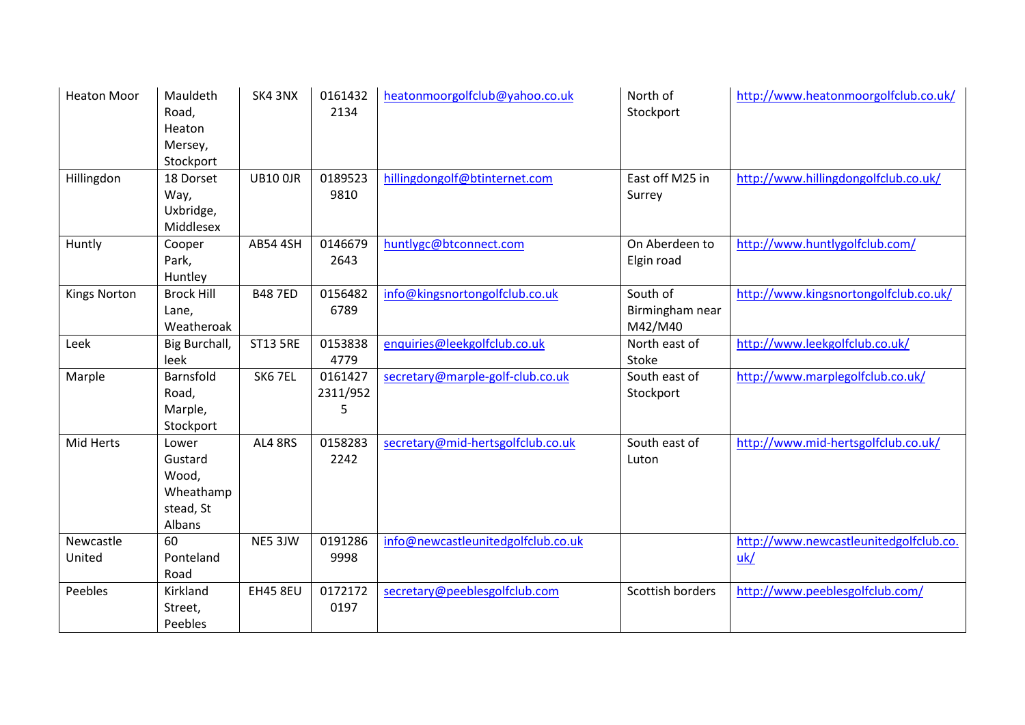| <b>Heaton Moor</b>  | Mauldeth<br>Road,<br>Heaton<br>Mersey,<br>Stockport           | SK4 3NX         | 0161432<br>2134          | heatonmoorgolfclub@yahoo.co.uk     | North of<br>Stockport                  | http://www.heatonmoorgolfclub.co.uk/          |
|---------------------|---------------------------------------------------------------|-----------------|--------------------------|------------------------------------|----------------------------------------|-----------------------------------------------|
| Hillingdon          | 18 Dorset<br>Way,<br>Uxbridge,<br>Middlesex                   | <b>UB10 0JR</b> | 0189523<br>9810          | hillingdongolf@btinternet.com      | East off M25 in<br>Surrey              | http://www.hillingdongolfclub.co.uk/          |
| Huntly              | Cooper<br>Park,<br>Huntley                                    | <b>AB54 4SH</b> | 0146679<br>2643          | huntlygc@btconnect.com             | On Aberdeen to<br>Elgin road           | http://www.huntlygolfclub.com/                |
| <b>Kings Norton</b> | <b>Brock Hill</b><br>Lane,<br>Weatheroak                      | <b>B487ED</b>   | 0156482<br>6789          | info@kingsnortongolfclub.co.uk     | South of<br>Birmingham near<br>M42/M40 | http://www.kingsnortongolfclub.co.uk/         |
| Leek                | Big Burchall,<br>leek                                         | <b>ST13 5RE</b> | 0153838<br>4779          | enquiries@leekgolfclub.co.uk       | North east of<br>Stoke                 | http://www.leekgolfclub.co.uk/                |
| Marple              | Barnsfold<br>Road,<br>Marple,<br>Stockport                    | SK67EL          | 0161427<br>2311/952<br>5 | secretary@marple-golf-club.co.uk   | South east of<br>Stockport             | http://www.marplegolfclub.co.uk/              |
| Mid Herts           | Lower<br>Gustard<br>Wood,<br>Wheathamp<br>stead, St<br>Albans | AL4 8RS         | 0158283<br>2242          | secretary@mid-hertsgolfclub.co.uk  | South east of<br>Luton                 | http://www.mid-hertsgolfclub.co.uk/           |
| Newcastle<br>United | 60<br>Ponteland<br>Road                                       | NE5 3JW         | 0191286<br>9998          | info@newcastleunitedgolfclub.co.uk |                                        | http://www.newcastleunitedgolfclub.co.<br>uk/ |
| Peebles             | Kirkland<br>Street,<br>Peebles                                | <b>EH45 8EU</b> | 0172172<br>0197          | secretary@peeblesgolfclub.com      | Scottish borders                       | http://www.peeblesgolfclub.com/               |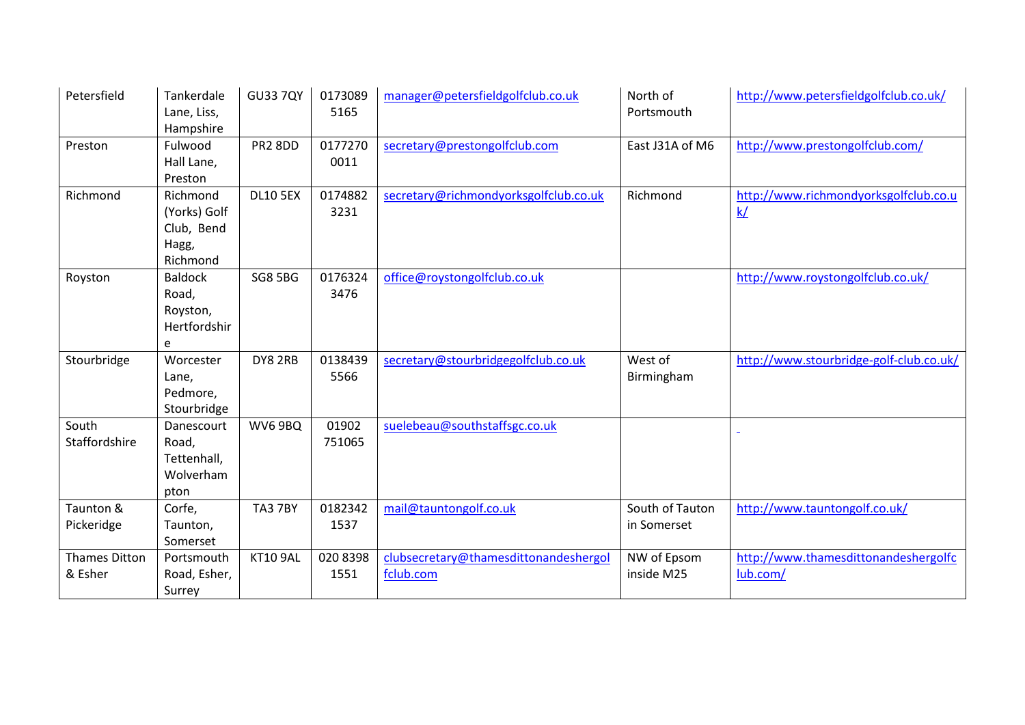| Petersfield                     | Tankerdale<br>Lane, Liss,<br>Hampshire                      | <b>GU33 7QY</b> | 0173089<br>5165  | manager@petersfieldgolfclub.co.uk                  | North of<br>Portsmouth         | http://www.petersfieldgolfclub.co.uk/            |
|---------------------------------|-------------------------------------------------------------|-----------------|------------------|----------------------------------------------------|--------------------------------|--------------------------------------------------|
| Preston                         | Fulwood<br>Hall Lane,<br>Preston                            | <b>PR2 8DD</b>  | 0177270<br>0011  | secretary@prestongolfclub.com                      | East J31A of M6                | http://www.prestongolfclub.com/                  |
| Richmond                        | Richmond<br>(Yorks) Golf<br>Club, Bend<br>Hagg,<br>Richmond | <b>DL10 5EX</b> | 0174882<br>3231  | secretary@richmondyorksgolfclub.co.uk              | Richmond                       | http://www.richmondyorksgolfclub.co.u<br>k/      |
| Royston                         | <b>Baldock</b><br>Road,<br>Royston,<br>Hertfordshir<br>e    | <b>SG8 5BG</b>  | 0176324<br>3476  | office@roystongolfclub.co.uk                       |                                | http://www.roystongolfclub.co.uk/                |
| Stourbridge                     | Worcester<br>Lane,<br>Pedmore,<br>Stourbridge               | DY8 2RB         | 0138439<br>5566  | secretary@stourbridgegolfclub.co.uk                | West of<br>Birmingham          | http://www.stourbridge-golf-club.co.uk/          |
| South<br>Staffordshire          | Danescourt<br>Road,<br>Tettenhall,<br>Wolverham<br>pton     | WV6 9BQ         | 01902<br>751065  | suelebeau@southstaffsgc.co.uk                      |                                |                                                  |
| Taunton &<br>Pickeridge         | Corfe,<br>Taunton,<br>Somerset                              | <b>TA3 7BY</b>  | 0182342<br>1537  | mail@tauntongolf.co.uk                             | South of Tauton<br>in Somerset | http://www.tauntongolf.co.uk/                    |
| <b>Thames Ditton</b><br>& Esher | Portsmouth<br>Road, Esher,<br>Surrey                        | <b>KT10 9AL</b> | 020 8398<br>1551 | clubsecretary@thamesdittonandeshergol<br>fclub.com | NW of Epsom<br>inside M25      | http://www.thamesdittonandeshergolfc<br>lub.com/ |